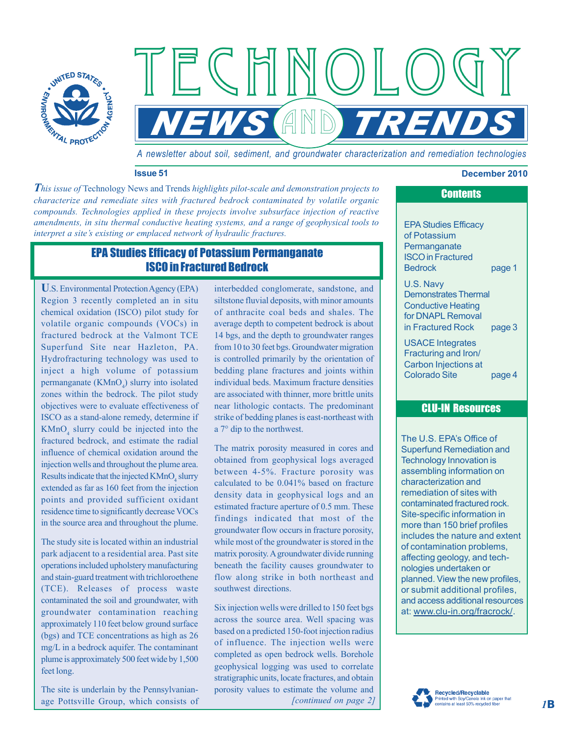

*A newsletter about soil, sediment, and groundwater characterization and remediation technologies*

**NEWS AND TRENDS** 

 $\left\langle \left( \begin{array}{c} \end{array} \right) \right\rangle$ 

## **Issue 51 December 2010**

*This issue of* Technology News and Trends *highlights pilot-scale and demonstration projects to characterize and remediate sites with fractured bedrock contaminated by volatile organic compounds. Technologies applied in these projects involve subsurface injection of reactive amendments, in situ thermal conductive heating systems, and a range of geophysical tools to interpret a site's existing or emplaced network of hydraulic fractures.*

 $F$  C H I

# EPA Studies Efficacy of Potassium Permanganate ISCO in Fractured Bedrock

**U**.S. Environmental Protection Agency (EPA) Region 3 recently completed an in situ chemical oxidation (ISCO) pilot study for volatile organic compounds (VOCs) in fractured bedrock at the Valmont TCE Superfund Site near Hazleton, PA. Hydrofracturing technology was used to inject a high volume of potassium permanganate  $(KMnO<sub>4</sub>)$  slurry into isolated zones within the bedrock. The pilot study objectives were to evaluate effectiveness of ISCO as a stand-alone remedy, determine if  $KMnO<sub>4</sub>$  slurry could be injected into the fractured bedrock, and estimate the radial influence of chemical oxidation around the injection wells and throughout the plume area. Results indicate that the injected  $KMnO<sub>4</sub>$  slurry extended as far as 160 feet from the injection points and provided sufficient oxidant residence time to significantly decrease VOCs in the source area and throughout the plume.

The study site is located within an industrial park adjacent to a residential area. Past site operations included upholstery manufacturing and stain-guard treatment with trichloroethene (TCE). Releases of process waste contaminated the soil and groundwater, with groundwater contamination reaching approximately 110 feet below ground surface (bgs) and TCE concentrations as high as 26 mg/L in a bedrock aquifer. The contaminant plume is approximately 500 feet wide by 1,500 feet long.

The site is underlain by the Pennsylvanianage Pottsville Group, which consists of interbedded conglomerate, sandstone, and siltstone fluvial deposits, with minor amounts of anthracite coal beds and shales. The average depth to competent bedrock is about 14 bgs, and the depth to groundwater ranges from 10 to 30 feet bgs. Groundwater migration is controlled primarily by the orientation of bedding plane fractures and joints within individual beds. Maximum fracture densities are associated with thinner, more brittle units near lithologic contacts. The predominant strike of bedding planes is east-northeast with a 7° dip to the northwest.

The matrix porosity measured in cores and obtained from geophysical logs averaged between 4-5%. Fracture porosity was calculated to be 0.041% based on fracture density data in geophysical logs and an estimated fracture aperture of 0.5 mm. These findings indicated that most of the groundwater flow occurs in fracture porosity, while most of the groundwater is stored in the matrix porosity. A groundwater divide running beneath the facility causes groundwater to flow along strike in both northeast and southwest directions.

*[continued on page 2]* Six injection wells were drilled to 150 feet bgs across the source area. Well spacing was based on a predicted 150-foot injection radius of influence. The injection wells were completed as open bedrock wells. Borehole geophysical logging was used to correlate stratigraphic units, locate fractures, and obtain porosity values to estimate the volume and

# **Contents**

EPA Studies Efficacy of Potassium **Permanganate** ISCO in Fractured Bedrock page 1

U.S. Navy Demonstrates Thermal Conductive Heating for DNAPL Removal in Fractured Rock page 3

USACE Integrates Fracturing and Iron/ Carbon Injections at Colorado Site page 4

## CLU-IN Resources

The U.S. EPA's Office of Superfund Remediation and Technology Innovation is assembling information on characterization and remediation of sites with contaminated fractured rock. Site-specific information in more than 150 brief profiles includes the nature and extent of contamination problems, affecting geology, and technologies undertaken or planned. View the new profiles, or submit additional profiles, and access additional resources at: [www.clu-in.org/fracrock/.](http://www.clu-in.org/fracrock/)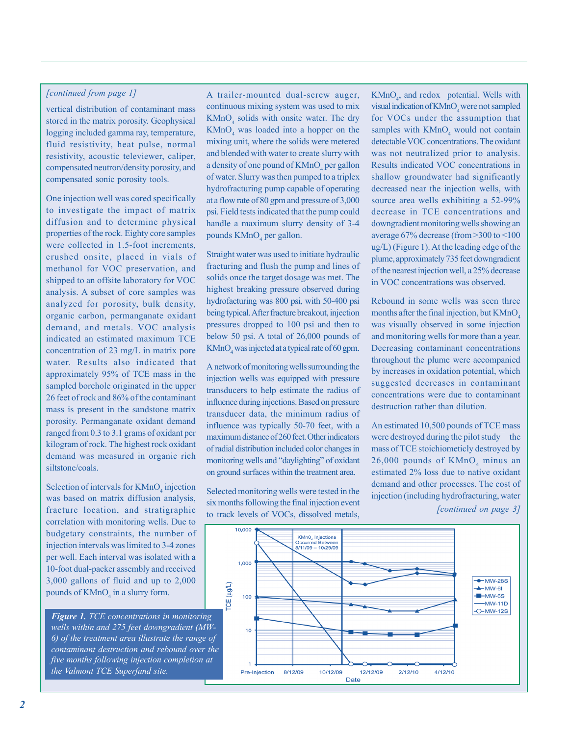## *[continued from page 1]*

vertical distribution of contaminant mass stored in the matrix porosity. Geophysical logging included gamma ray, temperature, fluid resistivity, heat pulse, normal resistivity, acoustic televiewer, caliper, compensated neutron/density porosity, and compensated sonic porosity tools.

One injection well was cored specifically to investigate the impact of matrix diffusion and to determine physical properties of the rock. Eighty core samples were collected in 1.5-foot increments, crushed onsite, placed in vials of methanol for VOC preservation, and shipped to an offsite laboratory for VOC analysis. A subset of core samples was analyzed for porosity, bulk density, organic carbon, permanganate oxidant demand, and metals. VOC analysis indicated an estimated maximum TCE concentration of 23 mg/L in matrix pore water. Results also indicated that approximately 95% of TCE mass in the sampled borehole originated in the upper 26 feet of rock and 86% of the contaminant mass is present in the sandstone matrix porosity. Permanganate oxidant demand ranged from 0.3 to 3.1 grams of oxidant per kilogram of rock. The highest rock oxidant demand was measured in organic rich siltstone/coals.

Selection of intervals for  $KMnO<sub>4</sub>$  injection was based on matrix diffusion analysis, fracture location, and stratigraphic correlation with monitoring wells. Due to budgetary constraints, the number of injection intervals was limited to 3-4 zones per well. Each interval was isolated with a 10-foot dual-packer assembly and received 3,000 gallons of fluid and up to 2,000 pounds of  $KMnO<sub>4</sub>$  in a slurry form.

*Figure 1. TCE concentrations in monitoring wells within and 275 feet downgradient (MW-6) of the treatment area illustrate the range of contaminant destruction and rebound over the five months following injection completion at the Valmont TCE Superfund site.*

A trailer-mounted dual-screw auger, continuous mixing system was used to mix  $KMnO<sub>4</sub>$  solids with onsite water. The dry  $KMnO<sub>4</sub>$  was loaded into a hopper on the mixing unit, where the solids were metered and blended with water to create slurry with a density of one pound of  $\text{KMnO}_4$  per gallon of water. Slurry was then pumped to a triplex hydrofracturing pump capable of operating at a flow rate of 80 gpm and pressure of 3,000 psi. Field tests indicated that the pump could handle a maximum slurry density of 3-4 pounds  $KMnO<sub>4</sub>$  per gallon.

Straight water was used to initiate hydraulic fracturing and flush the pump and lines of solids once the target dosage was met. The highest breaking pressure observed during hydrofacturing was 800 psi, with 50-400 psi being typical. After fracture breakout, injection pressures dropped to 100 psi and then to below 50 psi. A total of 26,000 pounds of  $\text{KMnO}_4$  was injected at a typical rate of 60 gpm.

A network of monitoring wells surrounding the injection wells was equipped with pressure transducers to help estimate the radius of influence during injections. Based on pressure transducer data, the minimum radius of influence was typically 50-70 feet, with a maximum distance of 260 feet. Other indicators of radial distribution included color changes in monitoring wells and "daylighting" of oxidant on ground surfaces within the treatment area.

Selected monitoring wells were tested in the six months following the final injection event to track levels of VOCs, dissolved metals,

 $KMnO<sub>4</sub>$ , and redox potential. Wells with visual indication of KMnO<sub>4</sub> were not sampled for VOCs under the assumption that samples with  $KMnO<sub>4</sub>$  would not contain detectable VOC concentrations. The oxidant was not neutralized prior to analysis. Results indicated VOC concentrations in shallow groundwater had significantly decreased near the injection wells, with source area wells exhibiting a 52-99% decrease in TCE concentrations and downgradient monitoring wells showing an average 67% decrease (from >300 to <100 ug/L) (Figure 1). At the leading edge of the plume, approximately 735 feet downgradient of the nearest injection well, a 25% decrease in VOC concentrations was observed.

Rebound in some wells was seen three months after the final injection, but KMnO<sub>4</sub> was visually observed in some injection and monitoring wells for more than a year. Decreasing contaminant concentrations throughout the plume were accompanied by increases in oxidation potential, which suggested decreases in contaminant concentrations were due to contaminant destruction rather than dilution.

An estimated 10,500 pounds of TCE mass were destroyed during the pilot study $\overline{\phantom{a}}$  the mass of TCE stoichiometicly destroyed by  $26,000$  pounds of  $\text{KMnO}_4$  minus an estimated 2% loss due to native oxidant demand and other processes. The cost of injection (including hydrofracturing, water *[continued on page 3]*

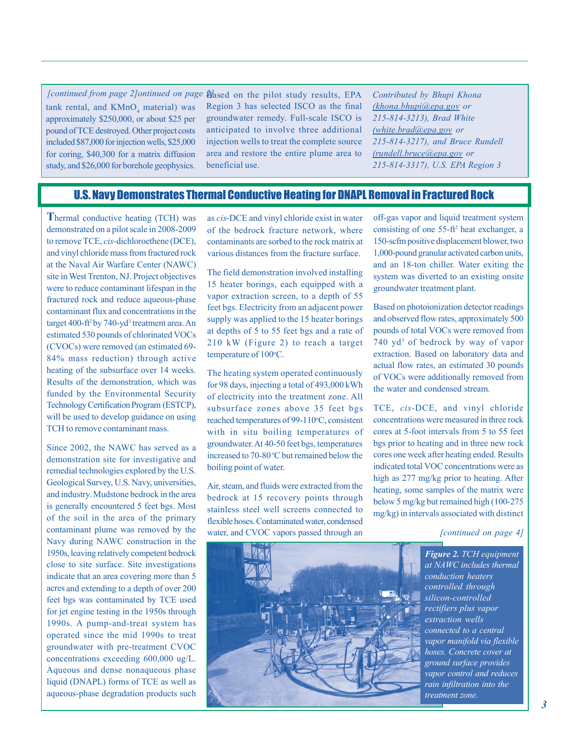tank rental, and  $KMnO<sub>4</sub>$  material) was approximately \$250,000, or about \$25 per pound of TCE destroyed. Other project costs included \$87,000 for injection wells, \$25,000 for coring, \$40,300 for a matrix diffusion study, and \$26,000 for borehole geophysics.

*[continued from page 2] ontinued on page Based on the pilot study results, EPA* Region 3 has selected ISCO as the final groundwater remedy. Full-scale ISCO is anticipated to involve three additional injection wells to treat the complete source area and restore the entire plume area to beneficial use.

*Contributed by Bhupi Khona [\(khona.bhupi@epa.gov](mailto:khona.bhupi@epa.gov) or 215-814-3213), Brad White [\(white.brad@epa.gov](mailto:white.brad@epa.gov) or 215-814-3217), and Bruce Rundell [\(rundell.bruce@epa.gov](mailto:rundell.bruce@epa.gov) or 215-814-3317), U.S. EPA Region 3*

# U.S. Navy Demonstrates Thermal Conductive Heating for DNAPL Removal in Fractured Rock

**T**hermal conductive heating (TCH) was demonstrated on a pilot scale in 2008-2009 to remove TCE, *cis-*dichloroethene (DCE), and vinyl chloride mass from fractured rock at the Naval Air Warfare Center (NAWC) site in West Trenton, NJ. Project objectives were to reduce contaminant lifespan in the fractured rock and reduce aqueous-phase contaminant flux and concentrations in the target 400-ft<sup>2</sup> by 740-yd<sup>3</sup> treatment area. An estimated 530 pounds of chlorinated VOCs (CVOCs) were removed (an estimated 69- 84% mass reduction) through active heating of the subsurface over 14 weeks. Results of the demonstration, which was funded by the Environmental Security Technology Certification Program (ESTCP), will be used to develop guidance on using TCH to remove contaminant mass.

Since 2002, the NAWC has served as a demonstration site for investigative and remedial technologies explored by the U.S. Geological Survey, U.S. Navy, universities, and industry. Mudstone bedrock in the area is generally encountered 5 feet bgs. Most of the soil in the area of the primary contaminant plume was removed by the Navy during NAWC construction in the 1950s, leaving relatively competent bedrock close to site surface. Site investigations indicate that an area covering more than 5 acres and extending to a depth of over 200 feet bgs was contaminated by TCE used for jet engine testing in the 1950s through 1990s. A pump-and-treat system has operated since the mid 1990s to treat groundwater with pre-treatment CVOC concentrations exceeding 600,000 ug/L. Aqueous and dense nonaqueous phase liquid (DNAPL) forms of TCE as well as aqueous-phase degradation products such as *cis*-DCE and vinyl chloride exist in water of the bedrock fracture network, where contaminants are sorbed to the rock matrix at various distances from the fracture surface.

The field demonstration involved installing 15 heater borings, each equipped with a vapor extraction screen, to a depth of 55 feet bgs. Electricity from an adjacent power supply was applied to the 15 heater borings at depths of 5 to 55 feet bgs and a rate of 210 kW (Figure 2) to reach a target temperature of 100°C.

The heating system operated continuously for 98 days, injecting a total of 493,000 kWh of electricity into the treatment zone. All subsurface zones above 35 feet bgs reached temperatures of 99-110°C, consistent with in situ boiling temperatures of groundwater. At 40-50 feet bgs, temperatures increased to 70-80 °C but remained below the boiling point of water.

Air, steam, and fluids were extracted from the bedrock at 15 recovery points through stainless steel well screens connected to flexible hoses. Contaminated water, condensed water, and CVOC vapors passed through an off-gas vapor and liquid treatment system consisting of one 55-ft2 heat exchanger, a 150-scfm positive displacement blower, two 1,000-pound granular activated carbon units, and an 18-ton chiller. Water exiting the system was diverted to an existing onsite groundwater treatment plant.

Based on photoionization detector readings and observed flow rates, approximately 500 pounds of total VOCs were removed from 740 yd<sup>3</sup> of bedrock by way of vapor extraction. Based on laboratory data and actual flow rates, an estimated 30 pounds of VOCs were additionally removed from the water and condensed stream.

TCE, *cis-*DCE, and vinyl chloride concentrations were measured in three rock cores at 5-foot intervals from 5 to 55 feet bgs prior to heating and in three new rock cores one week after heating ended. Results indicated total VOC concentrations were as high as 277 mg/kg prior to heating. After heating, some samples of the matrix were below 5 mg/kg but remained high (100-275 mg/kg) in intervals associated with distinct

*[continued on page 4]*



*Figure 2. TCH equipment at NAWC includes thermal conduction heaters controlled through silicon-controlled rectifiers plus vapor extraction wells connected to a central vapor manifold via flexible hoses. Concrete cover at ground surface provides vapor control and reduces rain infiltration into the treatment zone.*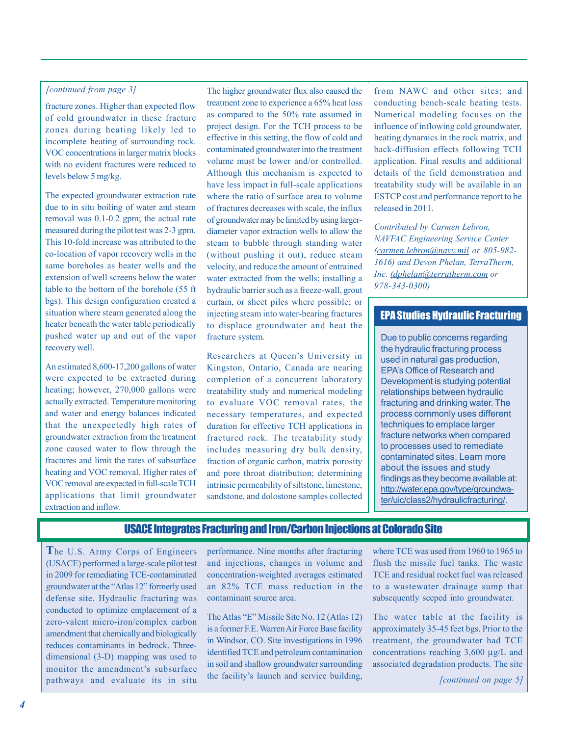#### *[continued from page 3]*

fracture zones. Higher than expected flow of cold groundwater in these fracture zones during heating likely led to incomplete heating of surrounding rock. VOC concentrations in larger matrix blocks with no evident fractures were reduced to levels below 5 mg/kg.

The expected groundwater extraction rate due to in situ boiling of water and steam removal was 0.1-0.2 gpm; the actual rate measured during the pilot test was 2-3 gpm. This 10-fold increase was attributed to the co-location of vapor recovery wells in the same boreholes as heater wells and the extension of well screens below the water table to the bottom of the borehole (55 ft bgs). This design configuration created a situation where steam generated along the heater beneath the water table periodically pushed water up and out of the vapor recovery well.

An estimated 8,600-17,200 gallons of water were expected to be extracted during heating; however, 270,000 gallons were actually extracted. Temperature monitoring and water and energy balances indicated that the unexpectedly high rates of groundwater extraction from the treatment zone caused water to flow through the fractures and limit the rates of subsurface heating and VOC removal. Higher rates of VOC removal are expected in full-scale TCH applications that limit groundwater extraction and inflow.

The higher groundwater flux also caused the treatment zone to experience a 65% heat loss as compared to the 50% rate assumed in project design. For the TCH process to be effective in this setting, the flow of cold and contaminated groundwater into the treatment volume must be lower and/or controlled. Although this mechanism is expected to have less impact in full-scale applications where the ratio of surface area to volume of fractures decreases with scale, the influx of groundwater may be limited by using largerdiameter vapor extraction wells to allow the steam to bubble through standing water (without pushing it out), reduce steam velocity, and reduce the amount of entrained water extracted from the wells; installing a hydraulic barrier such as a freeze-wall, grout curtain, or sheet piles where possible; or injecting steam into water-bearing fractures to displace groundwater and heat the fracture system.

Researchers at Queen's University in Kingston, Ontario, Canada are nearing completion of a concurrent laboratory treatability study and numerical modeling to evaluate VOC removal rates, the necessary temperatures, and expected duration for effective TCH applications in fractured rock. The treatability study includes measuring dry bulk density, fraction of organic carbon, matrix porosity and pore throat distribution; determining intrinsic permeability of siltstone, limestone, sandstone, and dolostone samples collected

from NAWC and other sites; and conducting bench-scale heating tests. Numerical modeling focuses on the influence of inflowing cold groundwater, heating dynamics in the rock matrix, and back-diffusion effects following TCH application. Final results and additional details of the field demonstration and treatability study will be available in an ESTCP cost and performance report to be released in 2011.

*Contributed by Carmen Lebron, NAVFAC Engineering Service Center [\(carmen.lebron@navy.mil](mailto:carmen.lebron@navy.mil) or 805-982- 1616) and Devon Phelan, TerraTherm, Inc. [\(dphelan@terratherm.com](mailto:dphelan@terratherm.com) or 978-343-0300)*

## EPA Studies Hydraulic Fracturing

Due to public concerns regarding the hydraulic fracturing process used in natural gas production, EPA's Office of Research and Development is studying potential relationships between hydraulic fracturing and drinking water. The process commonly uses different techniques to emplace larger fracture networks when compared to processes used to remediate contaminated sites. Learn more about the issues and study findings as they become available at: [http://water.epa.gov/type/groundwa](http://water.epa.gov/type/groundwater/uic/class2/hydraulicfracturing/)ter/uic/class2/hydraulicfracturing/.

## USACE Integrates Fracturing and Iron/Carbon Injections at Colorado Site

**T**he U.S. Army Corps of Engineers (USACE) performed a large-scale pilot test in 2009 for remediating TCE-contaminated groundwater at the "Atlas 12" formerly used defense site. Hydraulic fracturing was conducted to optimize emplacement of a zero-valent micro-iron/complex carbon amendment that chemically and biologically reduces contaminants in bedrock. Threedimensional (3-D) mapping was used to monitor the amendment's subsurface pathways and evaluate its in situ performance. Nine months after fracturing and injections, changes in volume and concentration-weighted averages estimated an 82% TCE mass reduction in the contaminant source area.

The Atlas "E" Missile Site No. 12 (Atlas 12) is a former F.E. Warren Air Force Base facility in Windsor, CO. Site investigations in 1996 identified TCE and petroleum contamination in soil and shallow groundwater surrounding the facility's launch and service building, where TCE was used from 1960 to 1965 to flush the missile fuel tanks. The waste TCE and residual rocket fuel was released to a wastewater drainage sump that subsequently seeped into groundwater.

The water table at the facility is approximately 35-45 feet bgs. Prior to the treatment, the groundwater had TCE concentrations reaching 3,600 μg/L and associated degradation products. The site

*[continued on page 5]*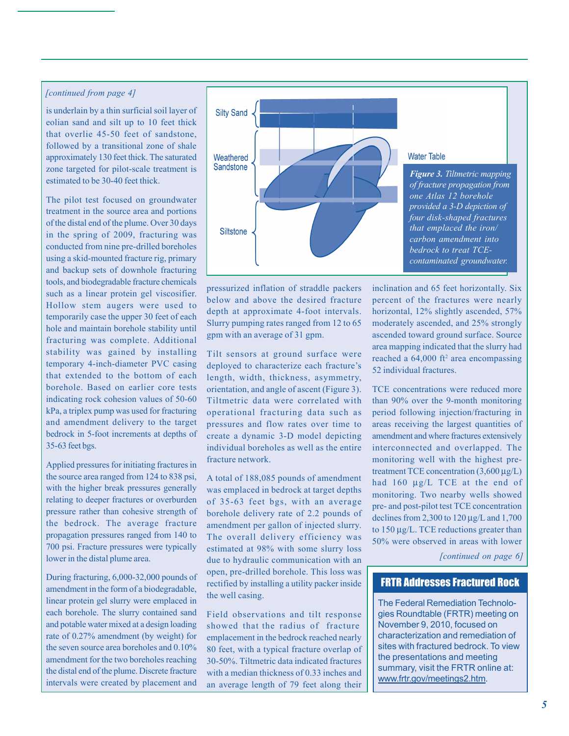#### *[continued from page 4]*

is underlain by a thin surficial soil layer of eolian sand and silt up to 10 feet thick that overlie 45-50 feet of sandstone, followed by a transitional zone of shale approximately 130 feet thick. The saturated zone targeted for pilot-scale treatment is estimated to be 30-40 feet thick.

The pilot test focused on groundwater treatment in the source area and portions of the distal end of the plume. Over 30 days in the spring of 2009, fracturing was conducted from nine pre-drilled boreholes using a skid-mounted fracture rig, primary and backup sets of downhole fracturing tools, and biodegradable fracture chemicals such as a linear protein gel viscosifier. Hollow stem augers were used to temporarily case the upper 30 feet of each hole and maintain borehole stability until fracturing was complete. Additional stability was gained by installing temporary 4-inch-diameter PVC casing that extended to the bottom of each borehole. Based on earlier core tests indicating rock cohesion values of 50-60 kPa, a triplex pump was used for fracturing and amendment delivery to the target bedrock in 5-foot increments at depths of 35-63 feet bgs.

Applied pressures for initiating fractures in the source area ranged from 124 to 838 psi, with the higher break pressures generally relating to deeper fractures or overburden pressure rather than cohesive strength of the bedrock. The average fracture propagation pressures ranged from 140 to 700 psi. Fracture pressures were typically lower in the distal plume area.

During fracturing, 6,000-32,000 pounds of amendment in the form of a biodegradable, linear protein gel slurry were emplaced in each borehole. The slurry contained sand and potable water mixed at a design loading rate of 0.27% amendment (by weight) for the seven source area boreholes and 0.10% amendment for the two boreholes reaching the distal end of the plume. Discrete fracture intervals were created by placement and



pressurized inflation of straddle packers below and above the desired fracture depth at approximate 4-foot intervals. Slurry pumping rates ranged from 12 to 65 gpm with an average of 31 gpm.

Tilt sensors at ground surface were deployed to characterize each fracture's length, width, thickness, asymmetry, orientation, and angle of ascent (Figure 3). Tiltmetric data were correlated with operational fracturing data such as pressures and flow rates over time to create a dynamic 3-D model depicting individual boreholes as well as the entire fracture network.

A total of 188,085 pounds of amendment was emplaced in bedrock at target depths of 35-63 feet bgs, with an average borehole delivery rate of 2.2 pounds of amendment per gallon of injected slurry. The overall delivery efficiency was estimated at 98% with some slurry loss due to hydraulic communication with an open, pre-drilled borehole. This loss was rectified by installing a utility packer inside the well casing.

Field observations and tilt response showed that the radius of fracture emplacement in the bedrock reached nearly 80 feet, with a typical fracture overlap of 30-50%. Tiltmetric data indicated fractures with a median thickness of 0.33 inches and an average length of 79 feet along their

inclination and 65 feet horizontally. Six percent of the fractures were nearly horizontal, 12% slightly ascended, 57% moderately ascended, and 25% strongly ascended toward ground surface. Source area mapping indicated that the slurry had reached a  $64,000$  ft<sup>2</sup> area encompassing 52 individual fractures.

TCE concentrations were reduced more than 90% over the 9-month monitoring period following injection/fracturing in areas receiving the largest quantities of amendment and where fractures extensively interconnected and overlapped. The monitoring well with the highest pretreatment TCE concentration (3,600 μg/L) had 160 μg/L TCE at the end of monitoring. Two nearby wells showed pre- and post-pilot test TCE concentration declines from 2,300 to  $120 \mu g/L$  and  $1,700$ to 150 μg/L. TCE reductions greater than 50% were observed in areas with lower

*[continued on page 6]*

## FRTR Addresses Fractured Rock

The Federal Remediation Technologies Roundtable (FRTR) meeting on November 9, 2010, focused on characterization and remediation of sites with fractured bedrock. To view the presentations and meeting summary, visit the FRTR online at: [www.frtr.gov/meetings](http://www.frtr.gov/meetings2.htm)2.htm.